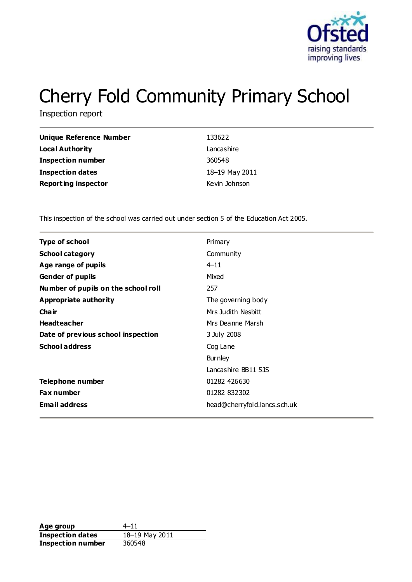

# Cherry Fold Community Primary School

Inspection report

| Unique Reference Number    | 133622         |
|----------------------------|----------------|
| <b>Local Authority</b>     | Lancashire     |
| Inspection number          | 360548         |
| <b>Inspection dates</b>    | 18-19 May 2011 |
| <b>Reporting inspector</b> | Kevin Johnson  |

This inspection of the school was carried out under section 5 of the Education Act 2005.

| <b>Type of school</b>               | Primary                      |
|-------------------------------------|------------------------------|
| <b>School category</b>              | Community                    |
| Age range of pupils                 | $4 - 11$                     |
| <b>Gender of pupils</b>             | Mixed                        |
| Number of pupils on the school roll | 257                          |
| Appropriate authority               | The governing body           |
| Cha ir                              | Mrs Judith Nesbitt           |
| <b>Headteacher</b>                  | Mrs Deanne Marsh             |
| Date of previous school inspection  | 3 July 2008                  |
| <b>School address</b>               | Cog Lane                     |
|                                     | <b>Burnley</b>               |
|                                     | Lancashire BB11 5JS          |
| Telephone number                    | 01282 426630                 |
| <b>Fax number</b>                   | 01282 832302                 |
| <b>Email address</b>                | head@cherryfold.lancs.sch.uk |
|                                     |                              |

**Age group** 4–11 **Inspection dates** 18–19 May 2011 **Inspection number** 360548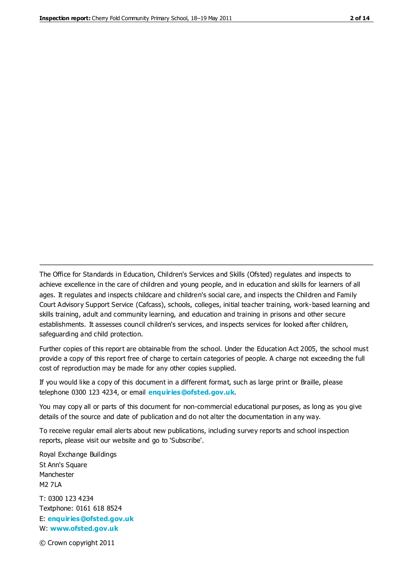The Office for Standards in Education, Children's Services and Skills (Ofsted) regulates and inspects to achieve excellence in the care of children and young people, and in education and skills for learners of all ages. It regulates and inspects childcare and children's social care, and inspects the Children and Family Court Advisory Support Service (Cafcass), schools, colleges, initial teacher training, work-based learning and skills training, adult and community learning, and education and training in prisons and other secure establishments. It assesses council children's services, and inspects services for looked after children, safeguarding and child protection.

Further copies of this report are obtainable from the school. Under the Education Act 2005, the school must provide a copy of this report free of charge to certain categories of people. A charge not exceeding the full cost of reproduction may be made for any other copies supplied.

If you would like a copy of this document in a different format, such as large print or Braille, please telephone 0300 123 4234, or email **[enquiries@ofsted.gov.uk](mailto:enquiries@ofsted.gov.uk)**.

You may copy all or parts of this document for non-commercial educational purposes, as long as you give details of the source and date of publication and do not alter the documentation in any way.

To receive regular email alerts about new publications, including survey reports and school inspection reports, please visit our website and go to 'Subscribe'.

Royal Exchange Buildings St Ann's Square Manchester M2 7LA T: 0300 123 4234 Textphone: 0161 618 8524 E: **[enquiries@ofsted.gov.uk](mailto:enquiries@ofsted.gov.uk)**

W: **[www.ofsted.gov.uk](http://www.ofsted.gov.uk/)**

© Crown copyright 2011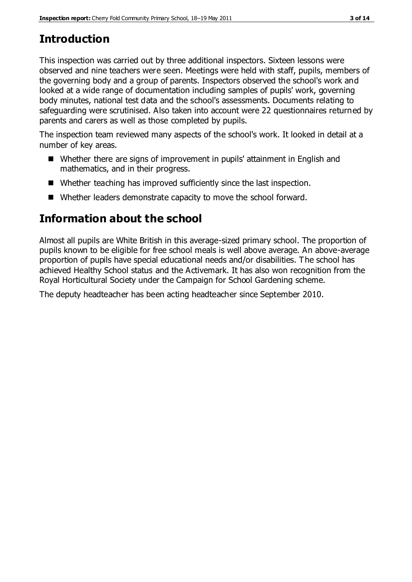# **Introduction**

This inspection was carried out by three additional inspectors. Sixteen lessons were observed and nine teachers were seen. Meetings were held with staff, pupils, members of the governing body and a group of parents. Inspectors observed the school's work and looked at a wide range of documentation including samples of pupils' work, governing body minutes, national test data and the school's assessments. Documents relating to safeguarding were scrutinised. Also taken into account were 22 questionnaires returned by parents and carers as well as those completed by pupils.

The inspection team reviewed many aspects of the school's work. It looked in detail at a number of key areas.

- Whether there are signs of improvement in pupils' attainment in English and mathematics, and in their progress.
- Whether teaching has improved sufficiently since the last inspection.
- Whether leaders demonstrate capacity to move the school forward.

# **Information about the school**

Almost all pupils are White British in this average-sized primary school. The proportion of pupils known to be eligible for free school meals is well above average. An above-average proportion of pupils have special educational needs and/or disabilities. The school has achieved Healthy School status and the Activemark. It has also won recognition from the Royal Horticultural Society under the Campaign for School Gardening scheme.

The deputy headteacher has been acting headteacher since September 2010.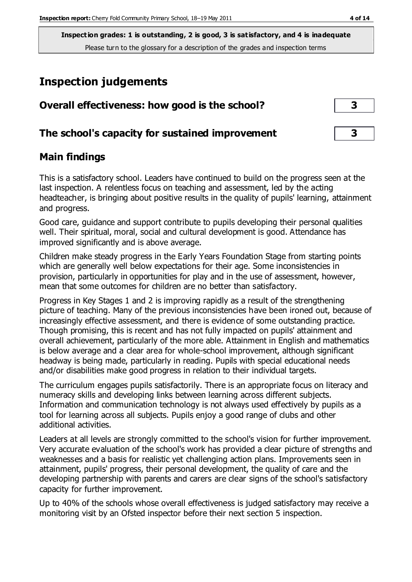# **Inspection judgements**

| Overall effectiveness: how good is the school?  |  |
|-------------------------------------------------|--|
| The school's capacity for sustained improvement |  |

## **Main findings**

This is a satisfactory school. Leaders have continued to build on the progress seen at the last inspection. A relentless focus on teaching and assessment, led by the acting headteacher, is bringing about positive results in the quality of pupils' learning, attainment and progress.

Good care, guidance and support contribute to pupils developing their personal qualities well. Their spiritual, moral, social and cultural development is good. Attendance has improved significantly and is above average.

Children make steady progress in the Early Years Foundation Stage from starting points which are generally well below expectations for their age. Some inconsistencies in provision, particularly in opportunities for play and in the use of assessment, however, mean that some outcomes for children are no better than satisfactory.

Progress in Key Stages 1 and 2 is improving rapidly as a result of the strengthening picture of teaching. Many of the previous inconsistencies have been ironed out, because of increasingly effective assessment, and there is evidence of some outstanding practice. Though promising, this is recent and has not fully impacted on pupils' attainment and overall achievement, particularly of the more able. Attainment in English and mathematics is below average and a clear area for whole-school improvement, although significant headway is being made, particularly in reading. Pupils with special educational needs and/or disabilities make good progress in relation to their individual targets.

The curriculum engages pupils satisfactorily. There is an appropriate focus on literacy and numeracy skills and developing links between learning across different subjects. Information and communication technology is not always used effectively by pupils as a tool for learning across all subjects. Pupils enjoy a good range of clubs and other additional activities.

Leaders at all levels are strongly committed to the school's vision for further improvement. Very accurate evaluation of the school's work has provided a clear picture of strengths and weaknesses and a basis for realistic yet challenging action plans. Improvements seen in attainment, pupils' progress, their personal development, the quality of care and the developing partnership with parents and carers are clear signs of the school's satisfactory capacity for further improvement.

Up to 40% of the schools whose overall effectiveness is judged satisfactory may receive a monitoring visit by an Ofsted inspector before their next section 5 inspection.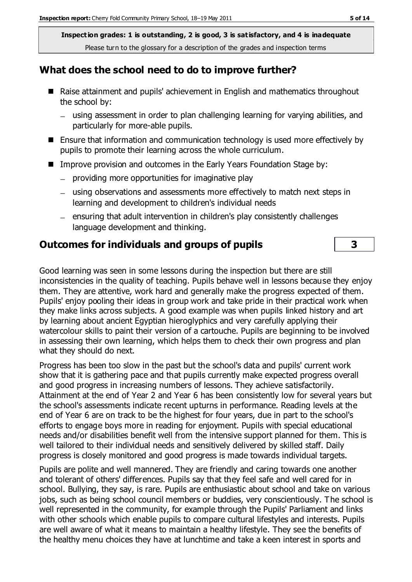#### **What does the school need to do to improve further?**

- Raise attainment and pupils' achievement in English and mathematics throughout the school by:
	- using assessment in order to plan challenging learning for varying abilities, and particularly for more-able pupils.
- Ensure that information and communication technology is used more effectively by pupils to promote their learning across the whole curriculum.
- Improve provision and outcomes in the Early Years Foundation Stage by:
	- $-$  providing more opportunities for imaginative play
	- using observations and assessments more effectively to match next steps in learning and development to children's individual needs
	- ensuring that adult intervention in children's play consistently challenges language development and thinking.

#### **Outcomes for individuals and groups of pupils 3**

Good learning was seen in some lessons during the inspection but there are still inconsistencies in the quality of teaching. Pupils behave well in lessons because they enjoy them. They are attentive, work hard and generally make the progress expected of them. Pupils' enjoy pooling their ideas in group work and take pride in their practical work when they make links across subjects. A good example was when pupils linked history and art by learning about ancient Egyptian hieroglyphics and very carefully applying their watercolour skills to paint their version of a cartouche. Pupils are beginning to be involved in assessing their own learning, which helps them to check their own progress and plan what they should do next.

Progress has been too slow in the past but the school's data and pupils' current work show that it is gathering pace and that pupils currently make expected progress overall and good progress in increasing numbers of lessons. They achieve satisfactorily. Attainment at the end of Year 2 and Year 6 has been consistently low for several years but the school's assessments indicate recent upturns in performance. Reading levels at the end of Year 6 are on track to be the highest for four years, due in part to the school's efforts to engage boys more in reading for enjoyment. Pupils with special educational needs and/or disabilities benefit well from the intensive support planned for them. This is well tailored to their individual needs and sensitively delivered by skilled staff. Daily progress is closely monitored and good progress is made towards individual targets.

Pupils are polite and well mannered. They are friendly and caring towards one another and tolerant of others' differences. Pupils say that they feel safe and well cared for in school. Bullying, they say, is rare. Pupils are enthusiastic about school and take on various jobs, such as being school council members or buddies, very conscientiously. The school is well represented in the community, for example through the Pupils' Parliament and links with other schools which enable pupils to compare cultural lifestyles and interests. Pupils are well aware of what it means to maintain a healthy lifestyle. They see the benefits of the healthy menu choices they have at lunchtime and take a keen interest in sports and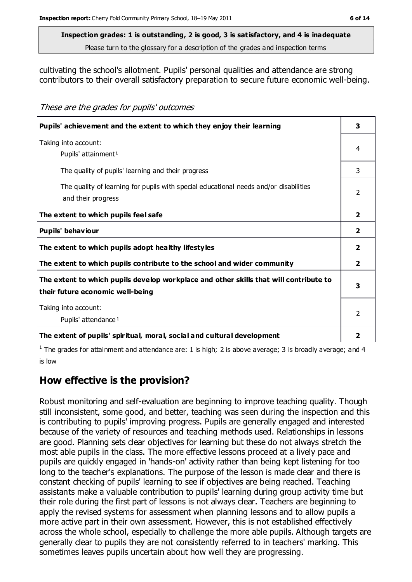#### **Inspection grades: 1 is outstanding, 2 is good, 3 is satisfactory, and 4 is inadequate**

Please turn to the glossary for a description of the grades and inspection terms

cultivating the school's allotment. Pupils' personal qualities and attendance are strong contributors to their overall satisfactory preparation to secure future economic well-being.

These are the grades for pupils' outcomes

| Pupils' achievement and the extent to which they enjoy their learning                                                     |                |
|---------------------------------------------------------------------------------------------------------------------------|----------------|
| Taking into account:<br>Pupils' attainment <sup>1</sup>                                                                   | 4              |
| The quality of pupils' learning and their progress                                                                        | 3              |
| The quality of learning for pupils with special educational needs and/or disabilities<br>and their progress               | $\mathcal{P}$  |
| The extent to which pupils feel safe                                                                                      | $\overline{2}$ |
| Pupils' behaviour                                                                                                         | $\overline{2}$ |
| The extent to which pupils adopt healthy lifestyles                                                                       | $\overline{2}$ |
| The extent to which pupils contribute to the school and wider community                                                   | $\overline{2}$ |
| The extent to which pupils develop workplace and other skills that will contribute to<br>their future economic well-being |                |
| Taking into account:<br>Pupils' attendance <sup>1</sup>                                                                   |                |
| The extent of pupils' spiritual, moral, social and cultural development                                                   | 2              |

<sup>1</sup> The grades for attainment and attendance are: 1 is high; 2 is above average; 3 is broadly average; and 4 is low

## **How effective is the provision?**

Robust monitoring and self-evaluation are beginning to improve teaching quality. Though still inconsistent, some good, and better, teaching was seen during the inspection and this is contributing to pupils' improving progress. Pupils are generally engaged and interested because of the variety of resources and teaching methods used. Relationships in lessons are good. Planning sets clear objectives for learning but these do not always stretch the most able pupils in the class. The more effective lessons proceed at a lively pace and pupils are quickly engaged in 'hands-on' activity rather than being kept listening for too long to the teacher's explanations. The purpose of the lesson is made clear and there is constant checking of pupils' learning to see if objectives are being reached. Teaching assistants make a valuable contribution to pupils' learning during group activity time but their role during the first part of lessons is not always clear. Teachers are beginning to apply the revised systems for assessment when planning lessons and to allow pupils a more active part in their own assessment. However, this is not established effectively across the whole school, especially to challenge the more able pupils. Although targets are generally clear to pupils they are not consistently referred to in teachers' marking. This sometimes leaves pupils uncertain about how well they are progressing.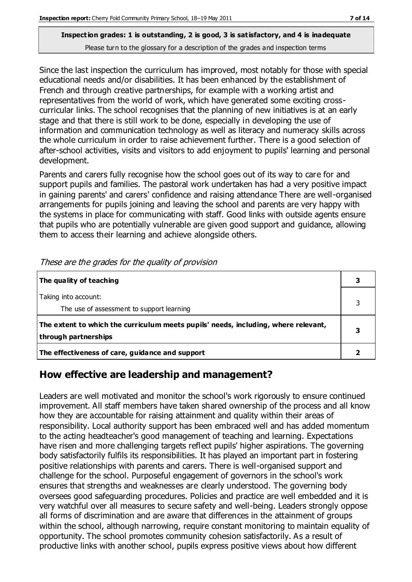Since the last inspection the curriculum has improved, most notably for those with special educational needs and/or disabilities. It has been enhanced by the establishment of French and through creative partnerships, for example with a working artist and representatives from the world of work, which have generated some exciting crosscurricular links. The school recognises that the planning of new initiatives is at an early stage and that there is still work to be done, especially in developing the use of information and communication technology as well as literacy and numeracy skills across the whole curriculum in order to raise achievement further. There is a good selection of after-school activities, visits and visitors to add enjoyment to pupils' learning and personal development.

Parents and carers fully recognise how the school goes out of its way to care for and support pupils and families. The pastoral work undertaken has had a very positive impact in gaining parents' and carers' confidence and raising attendance There are well-organised arrangements for pupils joining and leaving the school and parents are very happy with the systems in place for communicating with staff. Good links with outside agents ensure that pupils who are potentially vulnerable are given good support and guidance, allowing them to access their learning and achieve alongside others.

| The quality of teaching                                                                                    |  |
|------------------------------------------------------------------------------------------------------------|--|
| Taking into account:<br>The use of assessment to support learning                                          |  |
| The extent to which the curriculum meets pupils' needs, including, where relevant,<br>through partnerships |  |
| The effectiveness of care, guidance and support                                                            |  |

These are the grades for the quality of provision

## **How effective are leadership and management?**

Leaders are well motivated and monitor the school's work rigorously to ensure continued improvement. All staff members have taken shared ownership of the process and all know how they are accountable for raising attainment and quality within their areas of responsibility. Local authority support has been embraced well and has added momentum to the acting headteacher's good management of teaching and learning. Expectations have risen and more challenging targets reflect pupils' higher aspirations. The governing body satisfactorily fulfils its responsibilities. It has played an important part in fostering positive relationships with parents and carers. There is well-organised support and challenge for the school. Purposeful engagement of governors in the school's work ensures that strengths and weaknesses are clearly understood. The governing body oversees good safeguarding procedures. Policies and practice are well embedded and it is very watchful over all measures to secure safety and well-being. Leaders strongly oppose all forms of discrimination and are aware that differences in the attainment of groups within the school, although narrowing, require constant monitoring to maintain equality of opportunity. The school promotes community cohesion satisfactorily. As a result of productive links with another school, pupils express positive views about how different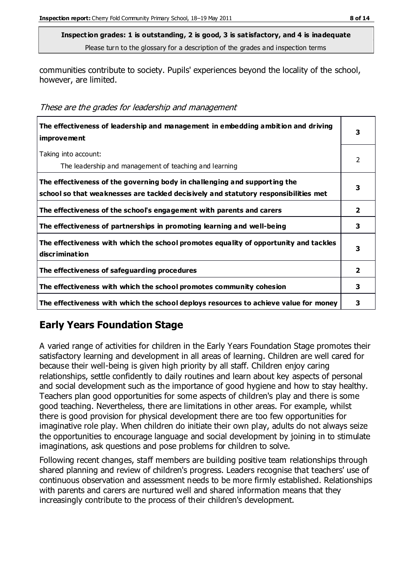communities contribute to society. Pupils' experiences beyond the locality of the school, however, are limited.

These are the grades for leadership and management

| The effectiveness of leadership and management in embedding ambition and driving<br>improvement                                                                  | 3            |
|------------------------------------------------------------------------------------------------------------------------------------------------------------------|--------------|
| Taking into account:<br>The leadership and management of teaching and learning                                                                                   | 2            |
| The effectiveness of the governing body in challenging and supporting the<br>school so that weaknesses are tackled decisively and statutory responsibilities met | 3            |
| The effectiveness of the school's engagement with parents and carers                                                                                             | $\mathbf{2}$ |
| The effectiveness of partnerships in promoting learning and well-being                                                                                           | 3            |
| The effectiveness with which the school promotes equality of opportunity and tackles<br>discrimination                                                           | 3            |
| The effectiveness of safeguarding procedures                                                                                                                     | 2            |
| The effectiveness with which the school promotes community cohesion                                                                                              | 3            |
| The effectiveness with which the school deploys resources to achieve value for money                                                                             | 3            |

## **Early Years Foundation Stage**

A varied range of activities for children in the Early Years Foundation Stage promotes their satisfactory learning and development in all areas of learning. Children are well cared for because their well-being is given high priority by all staff. Children enjoy caring relationships, settle confidently to daily routines and learn about key aspects of personal and social development such as the importance of good hygiene and how to stay healthy. Teachers plan good opportunities for some aspects of children's play and there is some good teaching. Nevertheless, there are limitations in other areas. For example, whilst there is good provision for physical development there are too few opportunities for imaginative role play. When children do initiate their own play, adults do not always seize the opportunities to encourage language and social development by joining in to stimulate imaginations, ask questions and pose problems for children to solve.

Following recent changes, staff members are building positive team relationships through shared planning and review of children's progress. Leaders recognise that teachers' use of continuous observation and assessment needs to be more firmly established. Relationships with parents and carers are nurtured well and shared information means that they increasingly contribute to the process of their children's development.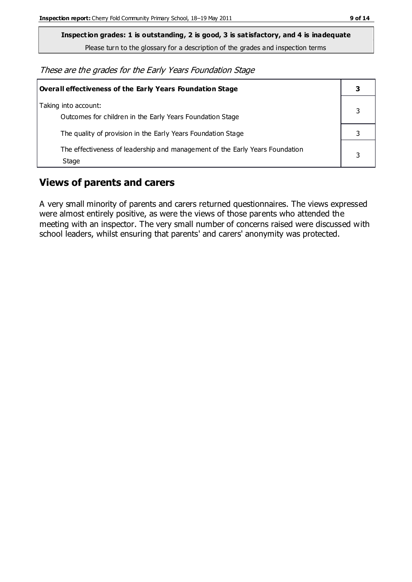**Inspection grades: 1 is outstanding, 2 is good, 3 is satisfactory, and 4 is inadequate**

Please turn to the glossary for a description of the grades and inspection terms

These are the grades for the Early Years Foundation Stage

| Overall effectiveness of the Early Years Foundation Stage                             |   |
|---------------------------------------------------------------------------------------|---|
| Taking into account:<br>Outcomes for children in the Early Years Foundation Stage     |   |
| The quality of provision in the Early Years Foundation Stage                          |   |
| The effectiveness of leadership and management of the Early Years Foundation<br>Stage | 3 |

#### **Views of parents and carers**

A very small minority of parents and carers returned questionnaires. The views expressed were almost entirely positive, as were the views of those parents who attended the meeting with an inspector. The very small number of concerns raised were discussed with school leaders, whilst ensuring that parents' and carers' anonymity was protected.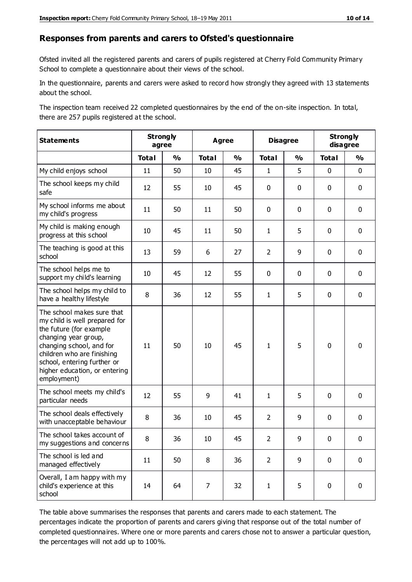#### **Responses from parents and carers to Ofsted's questionnaire**

Ofsted invited all the registered parents and carers of pupils registered at Cherry Fold Community Primary School to complete a questionnaire about their views of the school.

In the questionnaire, parents and carers were asked to record how strongly they agreed with 13 statements about the school.

The inspection team received 22 completed questionnaires by the end of the on-site inspection. In total, there are 257 pupils registered at the school.

| <b>Statements</b>                                                                                                                                                                                                                                       | <b>Strongly</b><br>agree |               | <b>Agree</b> |               | <b>Disagree</b> |               | <b>Strongly</b><br>disagree |               |
|---------------------------------------------------------------------------------------------------------------------------------------------------------------------------------------------------------------------------------------------------------|--------------------------|---------------|--------------|---------------|-----------------|---------------|-----------------------------|---------------|
|                                                                                                                                                                                                                                                         | <b>Total</b>             | $\frac{0}{0}$ | <b>Total</b> | $\frac{1}{2}$ | <b>Total</b>    | $\frac{1}{2}$ | <b>Total</b>                | $\frac{1}{2}$ |
| My child enjoys school                                                                                                                                                                                                                                  | 11                       | 50            | 10           | 45            | 1               | 5             | $\mathbf 0$                 | $\mathbf 0$   |
| The school keeps my child<br>safe                                                                                                                                                                                                                       | 12                       | 55            | 10           | 45            | 0               | 0             | $\mathbf 0$                 | $\mathbf 0$   |
| My school informs me about<br>my child's progress                                                                                                                                                                                                       | 11                       | 50            | 11           | 50            | 0               | 0             | $\mathbf 0$                 | $\mathbf 0$   |
| My child is making enough<br>progress at this school                                                                                                                                                                                                    | 10                       | 45            | 11           | 50            | $\mathbf{1}$    | 5             | $\mathbf 0$                 | $\mathbf 0$   |
| The teaching is good at this<br>school                                                                                                                                                                                                                  | 13                       | 59            | 6            | 27            | $\overline{2}$  | 9             | 0                           | $\mathbf 0$   |
| The school helps me to<br>support my child's learning                                                                                                                                                                                                   | 10                       | 45            | 12           | 55            | 0               | $\mathbf 0$   | 0                           | $\mathbf 0$   |
| The school helps my child to<br>have a healthy lifestyle                                                                                                                                                                                                | 8                        | 36            | 12           | 55            | 1               | 5             | 0                           | $\pmb{0}$     |
| The school makes sure that<br>my child is well prepared for<br>the future (for example<br>changing year group,<br>changing school, and for<br>children who are finishing<br>school, entering further or<br>higher education, or entering<br>employment) | 11                       | 50            | 10           | 45            | $\mathbf{1}$    | 5             | $\mathbf 0$                 | $\mathbf 0$   |
| The school meets my child's<br>particular needs                                                                                                                                                                                                         | 12                       | 55            | 9            | 41            | 1               | 5             | $\mathbf 0$                 | $\mathbf 0$   |
| The school deals effectively<br>with unacceptable behaviour                                                                                                                                                                                             | 8                        | 36            | 10           | 45            | $\overline{2}$  | 9             | $\mathbf 0$                 | $\pmb{0}$     |
| The school takes account of<br>my suggestions and concerns                                                                                                                                                                                              | 8                        | 36            | 10           | 45            | 2               | 9             | $\mathbf{0}$                | $\mathbf{0}$  |
| The school is led and<br>managed effectively                                                                                                                                                                                                            | 11                       | 50            | 8            | 36            | $\overline{2}$  | 9             | $\mathbf 0$                 | $\mathbf 0$   |
| Overall, I am happy with my<br>child's experience at this<br>school                                                                                                                                                                                     | 14                       | 64            | 7            | 32            | $\mathbf{1}$    | 5             | $\mathbf 0$                 | $\pmb{0}$     |

The table above summarises the responses that parents and carers made to each statement. The percentages indicate the proportion of parents and carers giving that response out of the total number of completed questionnaires. Where one or more parents and carers chose not to answer a particular question, the percentages will not add up to 100%.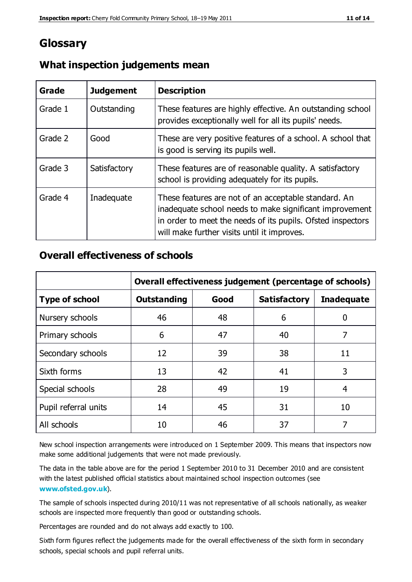## **Glossary**

| Grade   | <b>Judgement</b> | <b>Description</b>                                                                                                                                                                                                            |
|---------|------------------|-------------------------------------------------------------------------------------------------------------------------------------------------------------------------------------------------------------------------------|
| Grade 1 | Outstanding      | These features are highly effective. An outstanding school<br>provides exceptionally well for all its pupils' needs.                                                                                                          |
| Grade 2 | Good             | These are very positive features of a school. A school that<br>is good is serving its pupils well.                                                                                                                            |
| Grade 3 | Satisfactory     | These features are of reasonable quality. A satisfactory<br>school is providing adequately for its pupils.                                                                                                                    |
| Grade 4 | Inadequate       | These features are not of an acceptable standard. An<br>inadequate school needs to make significant improvement<br>in order to meet the needs of its pupils. Ofsted inspectors<br>will make further visits until it improves. |

#### **What inspection judgements mean**

#### **Overall effectiveness of schools**

|                       | Overall effectiveness judgement (percentage of schools) |      |                     |                   |
|-----------------------|---------------------------------------------------------|------|---------------------|-------------------|
| <b>Type of school</b> | <b>Outstanding</b>                                      | Good | <b>Satisfactory</b> | <b>Inadequate</b> |
| Nursery schools       | 46                                                      | 48   | 6                   |                   |
| Primary schools       | 6                                                       | 47   | 40                  | 7                 |
| Secondary schools     | 12                                                      | 39   | 38                  | 11                |
| Sixth forms           | 13                                                      | 42   | 41                  | 3                 |
| Special schools       | 28                                                      | 49   | 19                  | 4                 |
| Pupil referral units  | 14                                                      | 45   | 31                  | 10                |
| All schools           | 10                                                      | 46   | 37                  |                   |

New school inspection arrangements were introduced on 1 September 2009. This means that inspectors now make some additional judgements that were not made previously.

The data in the table above are for the period 1 September 2010 to 31 December 2010 and are consistent with the latest published official statistics about maintained school inspection outcomes (see **[www.ofsted.gov.uk](http://www.ofsted.gov.uk/)**).

The sample of schools inspected during 2010/11 was not representative of all schools nationally, as weaker schools are inspected more frequently than good or outstanding schools.

Percentages are rounded and do not always add exactly to 100.

Sixth form figures reflect the judgements made for the overall effectiveness of the sixth form in secondary schools, special schools and pupil referral units.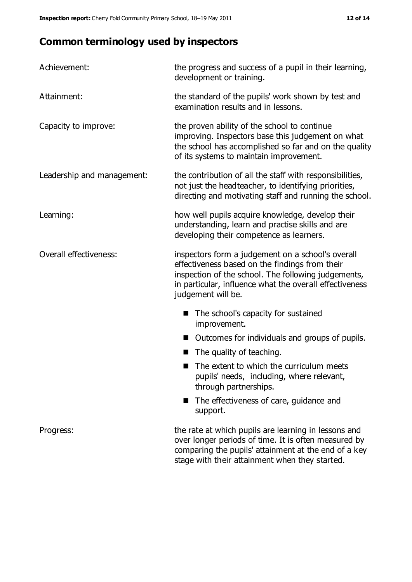# **Common terminology used by inspectors**

| Achievement:               | the progress and success of a pupil in their learning,<br>development or training.                                                                                                                                                          |
|----------------------------|---------------------------------------------------------------------------------------------------------------------------------------------------------------------------------------------------------------------------------------------|
| Attainment:                | the standard of the pupils' work shown by test and<br>examination results and in lessons.                                                                                                                                                   |
| Capacity to improve:       | the proven ability of the school to continue<br>improving. Inspectors base this judgement on what<br>the school has accomplished so far and on the quality<br>of its systems to maintain improvement.                                       |
| Leadership and management: | the contribution of all the staff with responsibilities,<br>not just the headteacher, to identifying priorities,<br>directing and motivating staff and running the school.                                                                  |
| Learning:                  | how well pupils acquire knowledge, develop their<br>understanding, learn and practise skills and are<br>developing their competence as learners.                                                                                            |
| Overall effectiveness:     | inspectors form a judgement on a school's overall<br>effectiveness based on the findings from their<br>inspection of the school. The following judgements,<br>in particular, influence what the overall effectiveness<br>judgement will be. |
|                            | The school's capacity for sustained<br>improvement.                                                                                                                                                                                         |
|                            | Outcomes for individuals and groups of pupils.                                                                                                                                                                                              |
|                            | The quality of teaching.                                                                                                                                                                                                                    |
|                            | The extent to which the curriculum meets<br>pupils' needs, including, where relevant,<br>through partnerships.                                                                                                                              |
|                            | The effectiveness of care, guidance and<br>support.                                                                                                                                                                                         |
| Progress:                  | the rate at which pupils are learning in lessons and<br>over longer periods of time. It is often measured by<br>comparing the pupils' attainment at the end of a key                                                                        |

stage with their attainment when they started.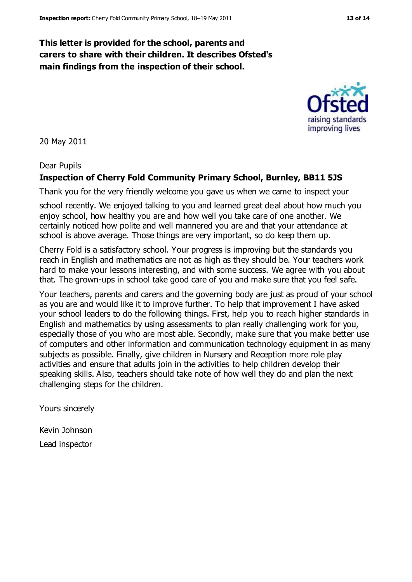#### **This letter is provided for the school, parents and carers to share with their children. It describes Ofsted's main findings from the inspection of their school.**

20 May 2011

#### Dear Pupils

#### **Inspection of Cherry Fold Community Primary School, Burnley, BB11 5JS**

Thank you for the very friendly welcome you gave us when we came to inspect your

school recently. We enjoyed talking to you and learned great deal about how much you enjoy school, how healthy you are and how well you take care of one another. We certainly noticed how polite and well mannered you are and that your attendance at school is above average. Those things are very important, so do keep them up.

Cherry Fold is a satisfactory school. Your progress is improving but the standards you reach in English and mathematics are not as high as they should be. Your teachers work hard to make your lessons interesting, and with some success. We agree with you about that. The grown-ups in school take good care of you and make sure that you feel safe.

Your teachers, parents and carers and the governing body are just as proud of your school as you are and would like it to improve further. To help that improvement I have asked your school leaders to do the following things. First, help you to reach higher standards in English and mathematics by using assessments to plan really challenging work for you, especially those of you who are most able. Secondly, make sure that you make better use of computers and other information and communication technology equipment in as many subjects as possible. Finally, give children in Nursery and Reception more role play activities and ensure that adults join in the activities to help children develop their speaking skills. Also, teachers should take note of how well they do and plan the next challenging steps for the children.

Yours sincerely

Kevin Johnson Lead inspector